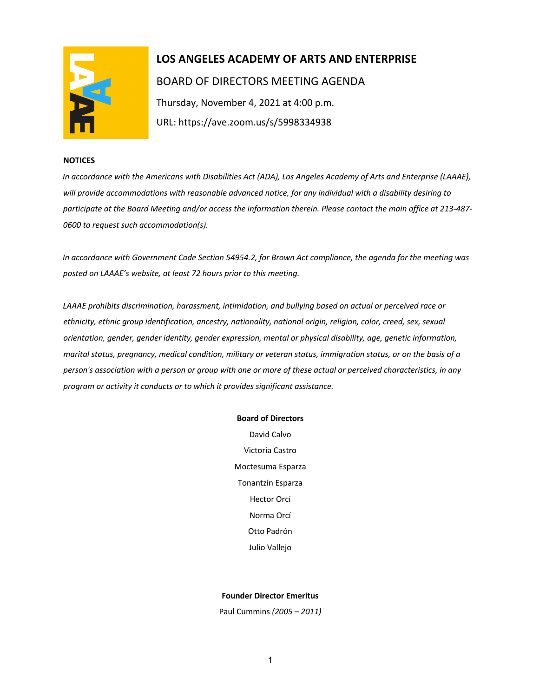

# **LOS ANGELES ACADEMY OF ARTS AND ENTERPRISE**  BOARD OF DIRECTORS MEETING AGENDA Thursday, November 4, 2021 at 4:00 p.m. URL: https://ave.zoom.us/s/5998334938

#### **NOTICES**

*In accordance with the Americans with Disabilities Act (ADA), Los Angeles Academy of Arts and Enterprise (LAAAE), will provide accommodations with reasonable advanced notice, for any individual with a disability desiring to participate at the Board Meeting and/or access the information therein. Please contact the main office at 213-487- 0600 to request such accommodation(s).* 

*In accordance with Government Code Section 54954.2, for Brown Act compliance, the agenda for the meeting was posted on LAAAE's website, at least 72 hours prior to this meeting.* 

*LAAAE prohibits discrimination, harassment, intimidation, and bullying based on actual or perceived race or ethnicity, ethnic group identification, ancestry, nationality, national origin, religion, color, creed, sex, sexual orientation, gender, gender identity, gender expression, mental or physical disability, age, genetic information, marital status, pregnancy, medical condition, military or veteran status, immigration status, or on the basis of a person's association with a person or group with one or more of these actual or perceived characteristics, in any program or activity it conducts or to which it provides significant assistance.* 

#### **Board of Directors**

David Calvo Victoria Castro Moctesuma Esparza Tonantzin Esparza Hector Orcí Norma Orcí Otto Padrón Julio Vallejo

#### **Founder Director Emeritus**

Paul Cummins *(2005 – 2011)*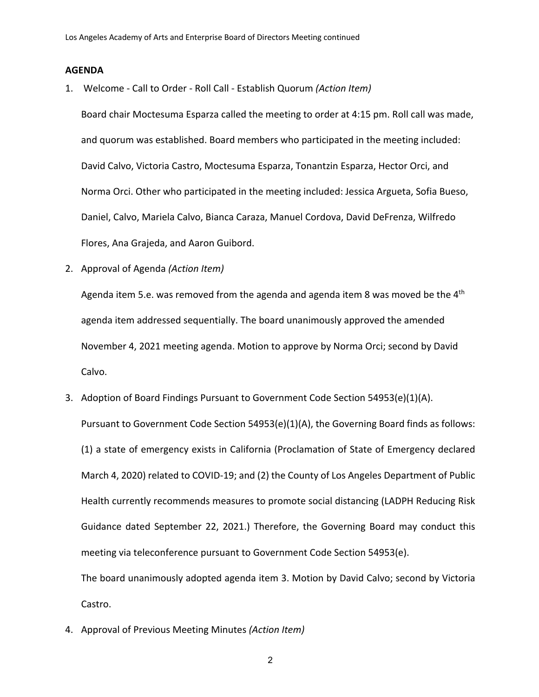### **AGENDA**

1. Welcome - Call to Order - Roll Call - Establish Quorum *(Action Item)*

Board chair Moctesuma Esparza called the meeting to order at 4:15 pm. Roll call was made, and quorum was established. Board members who participated in the meeting included: David Calvo, Victoria Castro, Moctesuma Esparza, Tonantzin Esparza, Hector Orci, and Norma Orci. Other who participated in the meeting included: Jessica Argueta, Sofia Bueso, Daniel, Calvo, Mariela Calvo, Bianca Caraza, Manuel Cordova, David DeFrenza, Wilfredo Flores, Ana Grajeda, and Aaron Guibord.

2. Approval of Agenda *(Action Item)*

Agenda item 5.e. was removed from the agenda and agenda item 8 was moved be the  $4<sup>th</sup>$ agenda item addressed sequentially. The board unanimously approved the amended November 4, 2021 meeting agenda. Motion to approve by Norma Orci; second by David Calvo.

3. Adoption of Board Findings Pursuant to Government Code Section 54953(e)(1)(A).

Pursuant to Government Code Section 54953(e)(1)(A), the Governing Board finds as follows: (1) a state of emergency exists in California (Proclamation of State of Emergency declared March 4, 2020) related to COVID-19; and (2) the County of Los Angeles Department of Public Health currently recommends measures to promote social distancing (LADPH Reducing Risk Guidance dated September 22, 2021.) Therefore, the Governing Board may conduct this meeting via teleconference pursuant to Government Code Section 54953(e).

The board unanimously adopted agenda item 3. Motion by David Calvo; second by Victoria Castro.

4. Approval of Previous Meeting Minutes *(Action Item)*

2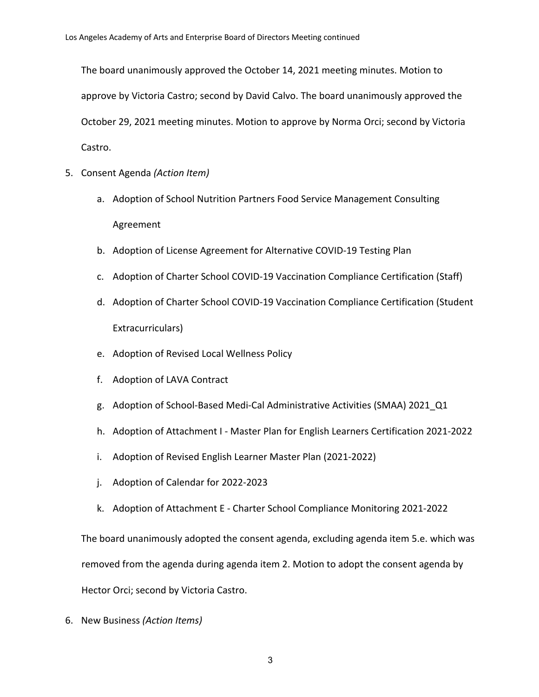The board unanimously approved the October 14, 2021 meeting minutes. Motion to approve by Victoria Castro; second by David Calvo. The board unanimously approved the October 29, 2021 meeting minutes. Motion to approve by Norma Orci; second by Victoria Castro.

- 5. Consent Agenda *(Action Item)*
	- a. Adoption of School Nutrition Partners Food Service Management Consulting Agreement
	- b. Adoption of License Agreement for Alternative COVID-19 Testing Plan
	- c. Adoption of Charter School COVID-19 Vaccination Compliance Certification (Staff)
	- d. Adoption of Charter School COVID-19 Vaccination Compliance Certification (Student Extracurriculars)
	- e. Adoption of Revised Local Wellness Policy
	- f. Adoption of LAVA Contract
	- g. Adoption of School-Based Medi-Cal Administrative Activities (SMAA) 2021\_Q1
	- h. Adoption of Attachment I Master Plan for English Learners Certification 2021-2022
	- i. Adoption of Revised English Learner Master Plan (2021-2022)
	- j. Adoption of Calendar for 2022-2023
	- k. Adoption of Attachment E Charter School Compliance Monitoring 2021-2022

The board unanimously adopted the consent agenda, excluding agenda item 5.e. which was removed from the agenda during agenda item 2. Motion to adopt the consent agenda by Hector Orci; second by Victoria Castro.

6. New Business *(Action Items)*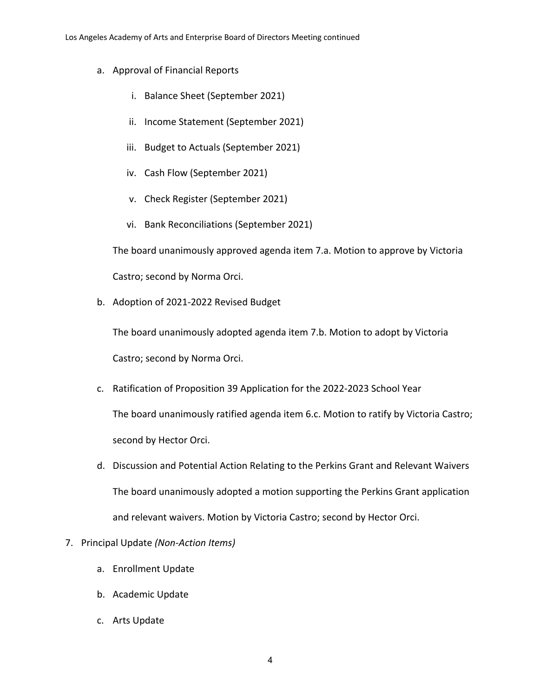- a. Approval of Financial Reports
	- i. Balance Sheet (September 2021)
	- ii. Income Statement (September 2021)
	- iii. Budget to Actuals (September 2021)
	- iv. Cash Flow (September 2021)
	- v. Check Register (September 2021)
	- vi. Bank Reconciliations (September 2021)

The board unanimously approved agenda item 7.a. Motion to approve by Victoria

Castro; second by Norma Orci.

b. Adoption of 2021-2022 Revised Budget

The board unanimously adopted agenda item 7.b. Motion to adopt by Victoria Castro; second by Norma Orci.

- c. Ratification of Proposition 39 Application for the 2022-2023 School Year The board unanimously ratified agenda item 6.c. Motion to ratify by Victoria Castro; second by Hector Orci.
- d. Discussion and Potential Action Relating to the Perkins Grant and Relevant Waivers The board unanimously adopted a motion supporting the Perkins Grant application and relevant waivers. Motion by Victoria Castro; second by Hector Orci.
- 7. Principal Update *(Non-Action Items)*
	- a. Enrollment Update
	- b. Academic Update
	- c. Arts Update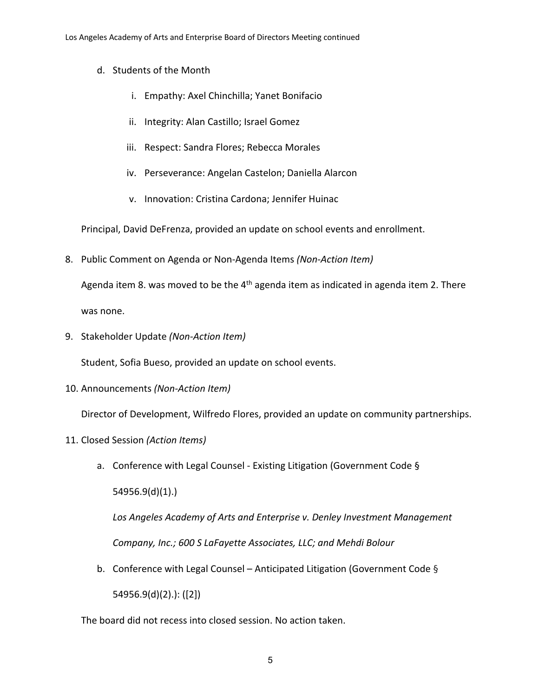- d. Students of the Month
	- i. Empathy: Axel Chinchilla; Yanet Bonifacio
	- ii. Integrity: Alan Castillo; Israel Gomez
	- iii. Respect: Sandra Flores; Rebecca Morales
	- iv. Perseverance: Angelan Castelon; Daniella Alarcon
	- v. Innovation: Cristina Cardona; Jennifer Huinac

Principal, David DeFrenza, provided an update on school events and enrollment.

8. Public Comment on Agenda or Non-Agenda Items *(Non-Action Item)*

Agenda item 8. was moved to be the  $4<sup>th</sup>$  agenda item as indicated in agenda item 2. There was none.

9. Stakeholder Update *(Non-Action Item)*

Student, Sofia Bueso, provided an update on school events.

10. Announcements *(Non-Action Item)*

Director of Development, Wilfredo Flores, provided an update on community partnerships.

- 11. Closed Session *(Action Items)*
	- a. Conference with Legal Counsel Existing Litigation (Government Code § 54956.9(d)(1).)

*Los Angeles Academy of Arts and Enterprise v. Denley Investment Management Company, Inc.; 600 S LaFayette Associates, LLC; and Mehdi Bolour*

b. Conference with Legal Counsel – Anticipated Litigation (Government Code § 54956.9(d)(2).): ([2])

The board did not recess into closed session. No action taken.